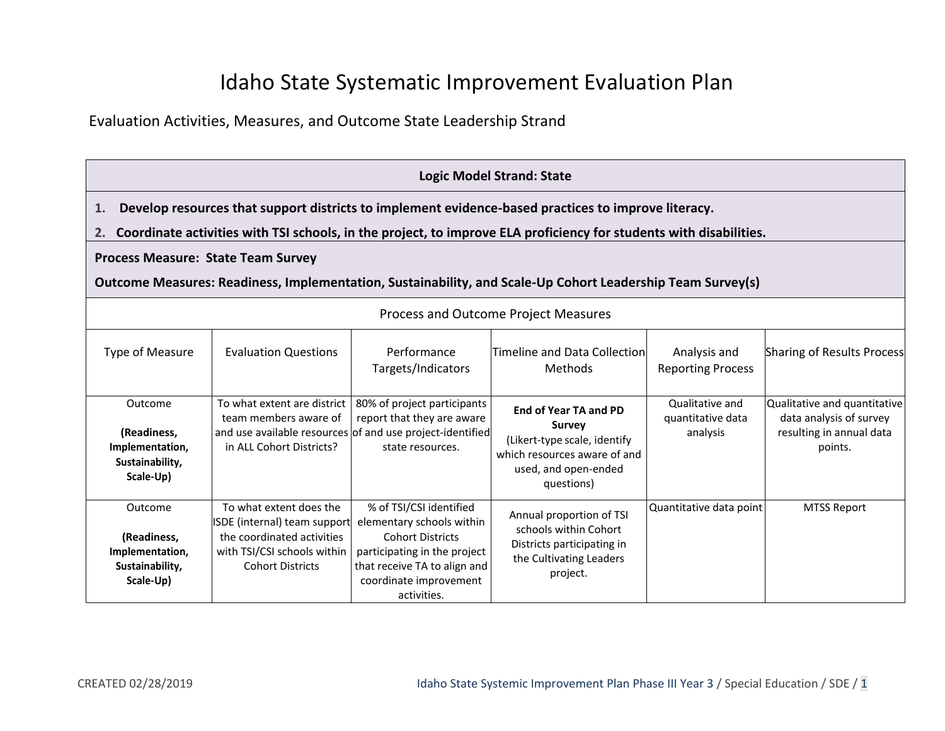# Idaho State Systematic Improvement Evaluation Plan

Evaluation Activities, Measures, and Outcome State Leadership Strand

|                                                                                                                                                         | <b>Logic Model Strand: State</b>                                                                                                                |                                                                                                                                                                                          |                                                                                                                                                                                                                           |                                                  |                                                                                                |  |
|---------------------------------------------------------------------------------------------------------------------------------------------------------|-------------------------------------------------------------------------------------------------------------------------------------------------|------------------------------------------------------------------------------------------------------------------------------------------------------------------------------------------|---------------------------------------------------------------------------------------------------------------------------------------------------------------------------------------------------------------------------|--------------------------------------------------|------------------------------------------------------------------------------------------------|--|
| 1.<br>2.                                                                                                                                                |                                                                                                                                                 |                                                                                                                                                                                          | Develop resources that support districts to implement evidence-based practices to improve literacy.<br>Coordinate activities with TSI schools, in the project, to improve ELA proficiency for students with disabilities. |                                                  |                                                                                                |  |
| <b>Process Measure: State Team Survey</b><br>Outcome Measures: Readiness, Implementation, Sustainability, and Scale-Up Cohort Leadership Team Survey(s) |                                                                                                                                                 |                                                                                                                                                                                          |                                                                                                                                                                                                                           |                                                  |                                                                                                |  |
|                                                                                                                                                         | Process and Outcome Project Measures                                                                                                            |                                                                                                                                                                                          |                                                                                                                                                                                                                           |                                                  |                                                                                                |  |
| <b>Type of Measure</b>                                                                                                                                  | <b>Evaluation Questions</b>                                                                                                                     | Performance<br>Targets/Indicators                                                                                                                                                        | Timeline and Data Collection<br>Methods                                                                                                                                                                                   | Analysis and<br><b>Reporting Process</b>         | <b>Sharing of Results Process</b>                                                              |  |
| Outcome<br>(Readiness,<br>Implementation,<br>Sustainability,<br>Scale-Up)                                                                               | To what extent are district<br>team members aware of<br>in ALL Cohort Districts?                                                                | 80% of project participants<br>report that they are aware<br>and use available resources of and use project-identified<br>state resources.                                               | <b>End of Year TA and PD</b><br><b>Survey</b><br>(Likert-type scale, identify<br>which resources aware of and<br>used, and open-ended<br>questions)                                                                       | Qualitative and<br>quantitative data<br>analysis | Qualitative and quantitative<br>data analysis of survey<br>resulting in annual data<br>points. |  |
| Outcome<br>(Readiness,<br>Implementation,<br>Sustainability,<br>Scale-Up)                                                                               | To what extent does the<br>ISDE (internal) team support<br>the coordinated activities<br>with TSI/CSI schools within<br><b>Cohort Districts</b> | % of TSI/CSI identified<br>elementary schools within<br><b>Cohort Districts</b><br>participating in the project<br>that receive TA to align and<br>coordinate improvement<br>activities. | Annual proportion of TSI<br>schools within Cohort<br>Districts participating in<br>the Cultivating Leaders<br>project.                                                                                                    | Quantitative data point                          | <b>MTSS Report</b>                                                                             |  |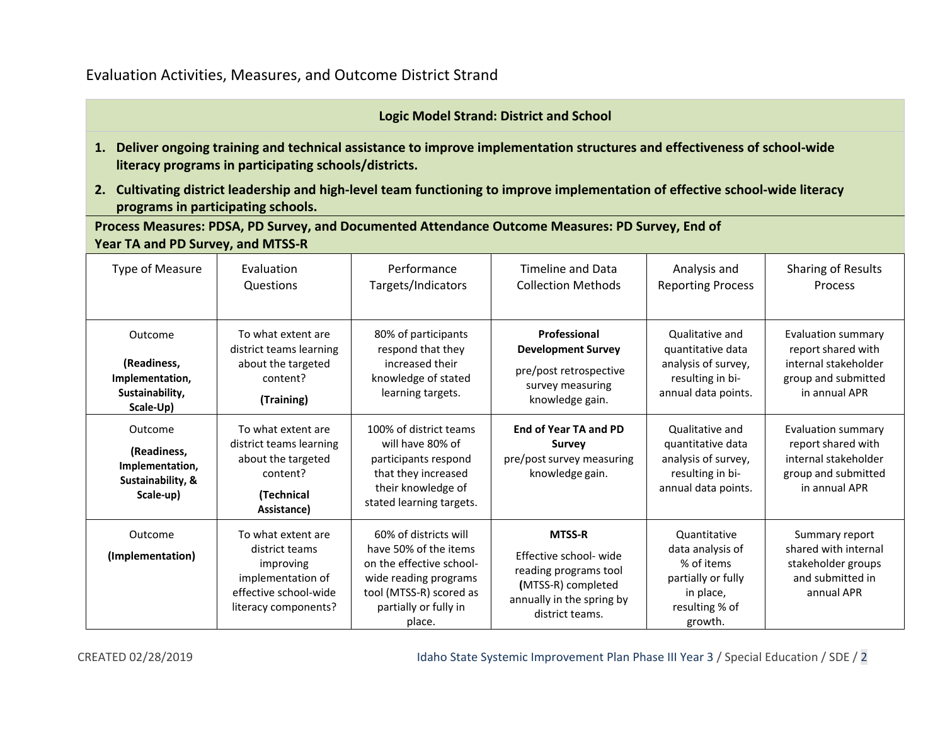### Evaluation Activities, Measures, and Outcome District Strand

#### **Logic Model Strand: District and School**

- **1. Deliver ongoing training and technical assistance to improve implementation structures and effectiveness of school-wide literacy programs in participating schools/districts.**
- **2. Cultivating district leadership and high-level team functioning to improve implementation of effective school-wide literacy programs in participating schools.**

**Process Measures: PDSA, PD Survey, and Documented Attendance Outcome Measures: PD Survey, End of Year TA and PD Survey, and MTSS-R**

| <b>Type of Measure</b>                                                      | Evaluation                                                                                                              | Performance                                                                                                                                                       | <b>Timeline and Data</b>                                                                                                               | Analysis and                                                                                                   | Sharing of Results                                                                                              |
|-----------------------------------------------------------------------------|-------------------------------------------------------------------------------------------------------------------------|-------------------------------------------------------------------------------------------------------------------------------------------------------------------|----------------------------------------------------------------------------------------------------------------------------------------|----------------------------------------------------------------------------------------------------------------|-----------------------------------------------------------------------------------------------------------------|
|                                                                             | Questions                                                                                                               | Targets/Indicators                                                                                                                                                | <b>Collection Methods</b>                                                                                                              | <b>Reporting Process</b>                                                                                       | Process                                                                                                         |
| Outcome                                                                     | To what extent are                                                                                                      | 80% of participants                                                                                                                                               | Professional                                                                                                                           | Qualitative and                                                                                                | <b>Evaluation summary</b>                                                                                       |
| (Readiness,                                                                 | district teams learning                                                                                                 | respond that they                                                                                                                                                 | <b>Development Survey</b>                                                                                                              | quantitative data                                                                                              | report shared with                                                                                              |
| Implementation,                                                             | about the targeted                                                                                                      | increased their                                                                                                                                                   | pre/post retrospective                                                                                                                 | analysis of survey,                                                                                            | internal stakeholder                                                                                            |
| Sustainability,                                                             | content?                                                                                                                | knowledge of stated                                                                                                                                               | survey measuring                                                                                                                       | resulting in bi-                                                                                               | group and submitted                                                                                             |
| Scale-Up)                                                                   | (Training)                                                                                                              | learning targets.                                                                                                                                                 | knowledge gain.                                                                                                                        | annual data points.                                                                                            | in annual APR                                                                                                   |
| Outcome<br>(Readiness,<br>Implementation,<br>Sustainability, &<br>Scale-up) | To what extent are<br>district teams learning<br>about the targeted<br>content?<br>(Technical<br>Assistance)            | 100% of district teams<br>will have 80% of<br>participants respond<br>that they increased<br>their knowledge of<br>stated learning targets.                       | <b>End of Year TA and PD</b><br><b>Survey</b><br>pre/post survey measuring<br>knowledge gain.                                          | Qualitative and<br>quantitative data<br>analysis of survey,<br>resulting in bi-<br>annual data points.         | <b>Evaluation summary</b><br>report shared with<br>internal stakeholder<br>group and submitted<br>in annual APR |
| Outcome<br>(Implementation)                                                 | To what extent are<br>district teams<br>improving<br>implementation of<br>effective school-wide<br>literacy components? | 60% of districts will<br>have 50% of the items<br>on the effective school-<br>wide reading programs<br>tool (MTSS-R) scored as<br>partially or fully in<br>place. | <b>MTSS-R</b><br>Effective school- wide<br>reading programs tool<br>(MTSS-R) completed<br>annually in the spring by<br>district teams. | Quantitative<br>data analysis of<br>% of items<br>partially or fully<br>in place,<br>resulting % of<br>growth. | Summary report<br>shared with internal<br>stakeholder groups<br>and submitted in<br>annual APR                  |

CREATED 02/28/2019 Idaho State Systemic Improvement Plan Phase III Year 3 / Special Education / SDE / 2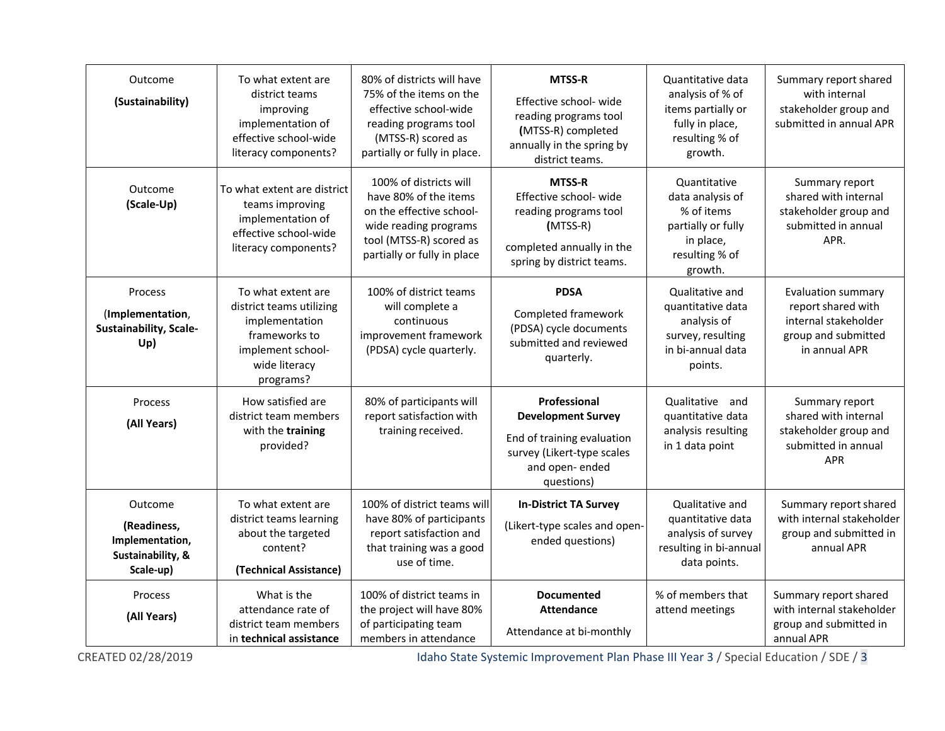| Outcome<br>(Sustainability)                                                 | To what extent are<br>district teams<br>improving<br>implementation of<br>effective school-wide<br>literacy components?              | 80% of districts will have<br>75% of the items on the<br>effective school-wide<br>reading programs tool<br>(MTSS-R) scored as<br>partially or fully in place.  | <b>MTSS-R</b><br>Effective school- wide<br>reading programs tool<br>(MTSS-R) completed<br>annually in the spring by<br>district teams.   | Quantitative data<br>analysis of % of<br>items partially or<br>fully in place,<br>resulting % of<br>growth.    | Summary report shared<br>with internal<br>stakeholder group and<br>submitted in annual APR                      |
|-----------------------------------------------------------------------------|--------------------------------------------------------------------------------------------------------------------------------------|----------------------------------------------------------------------------------------------------------------------------------------------------------------|------------------------------------------------------------------------------------------------------------------------------------------|----------------------------------------------------------------------------------------------------------------|-----------------------------------------------------------------------------------------------------------------|
| Outcome<br>(Scale-Up)                                                       | To what extent are district<br>teams improving<br>implementation of<br>effective school-wide<br>literacy components?                 | 100% of districts will<br>have 80% of the items<br>on the effective school-<br>wide reading programs<br>tool (MTSS-R) scored as<br>partially or fully in place | <b>MTSS-R</b><br>Effective school- wide<br>reading programs tool<br>$(MTSS-R)$<br>completed annually in the<br>spring by district teams. | Quantitative<br>data analysis of<br>% of items<br>partially or fully<br>in place,<br>resulting % of<br>growth. | Summary report<br>shared with internal<br>stakeholder group and<br>submitted in annual<br>APR.                  |
| Process<br>(Implementation,<br><b>Sustainability, Scale-</b><br>Up)         | To what extent are<br>district teams utilizing<br>implementation<br>frameworks to<br>implement school-<br>wide literacy<br>programs? | 100% of district teams<br>will complete a<br>continuous<br>improvement framework<br>(PDSA) cycle quarterly.                                                    | <b>PDSA</b><br>Completed framework<br>(PDSA) cycle documents<br>submitted and reviewed<br>quarterly.                                     | Qualitative and<br>quantitative data<br>analysis of<br>survey, resulting<br>in bi-annual data<br>points.       | <b>Evaluation summary</b><br>report shared with<br>internal stakeholder<br>group and submitted<br>in annual APR |
| Process<br>(All Years)                                                      | How satisfied are<br>district team members<br>with the training<br>provided?                                                         | 80% of participants will<br>report satisfaction with<br>training received.                                                                                     | Professional<br><b>Development Survey</b><br>End of training evaluation<br>survey (Likert-type scales<br>and open-ended<br>questions)    | Qualitative<br>and<br>quantitative data<br>analysis resulting<br>in 1 data point                               | Summary report<br>shared with internal<br>stakeholder group and<br>submitted in annual<br><b>APR</b>            |
| Outcome<br>(Readiness,<br>Implementation,<br>Sustainability, &<br>Scale-up) | To what extent are<br>district teams learning<br>about the targeted<br>content?<br>(Technical Assistance)                            | 100% of district teams will<br>have 80% of participants<br>report satisfaction and<br>that training was a good<br>use of time.                                 | <b>In-District TA Survey</b><br>(Likert-type scales and open-<br>ended questions)                                                        | Qualitative and<br>quantitative data<br>analysis of survey<br>resulting in bi-annual<br>data points.           | Summary report shared<br>with internal stakeholder<br>group and submitted in<br>annual APR                      |
| Process<br>(All Years)                                                      | What is the<br>attendance rate of<br>district team members<br>in technical assistance                                                | 100% of district teams in<br>the project will have 80%<br>of participating team<br>members in attendance                                                       | <b>Documented</b><br><b>Attendance</b><br>Attendance at bi-monthly                                                                       | % of members that<br>attend meetings                                                                           | Summary report shared<br>with internal stakeholder<br>group and submitted in<br>annual APR                      |

CREATED 02/28/2019 **Idaho State Systemic Improvement Plan Phase III Year 3 / Special Education / SDE / 3**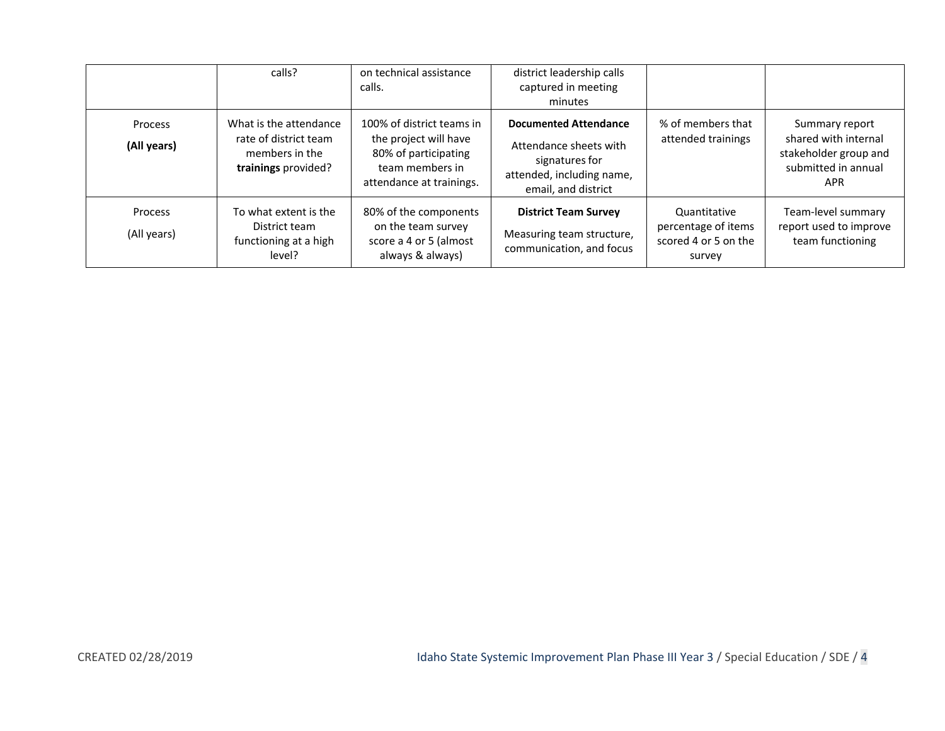|                        | calls?                                                                                   | on technical assistance<br>calls.                                                                                         | district leadership calls<br>captured in meeting<br>minutes                                                                  |                                                                       |                                                                                                      |
|------------------------|------------------------------------------------------------------------------------------|---------------------------------------------------------------------------------------------------------------------------|------------------------------------------------------------------------------------------------------------------------------|-----------------------------------------------------------------------|------------------------------------------------------------------------------------------------------|
| Process<br>(All years) | What is the attendance<br>rate of district team<br>members in the<br>trainings provided? | 100% of district teams in<br>the project will have<br>80% of participating<br>team members in<br>attendance at trainings. | <b>Documented Attendance</b><br>Attendance sheets with<br>signatures for<br>attended, including name,<br>email, and district | % of members that<br>attended trainings                               | Summary report<br>shared with internal<br>stakeholder group and<br>submitted in annual<br><b>APR</b> |
| Process<br>(All years) | To what extent is the<br>District team<br>functioning at a high<br>level?                | 80% of the components<br>on the team survey<br>score a 4 or 5 (almost<br>always & always)                                 | <b>District Team Survey</b><br>Measuring team structure,<br>communication, and focus                                         | Quantitative<br>percentage of items<br>scored 4 or 5 on the<br>survey | Team-level summary<br>report used to improve<br>team functioning                                     |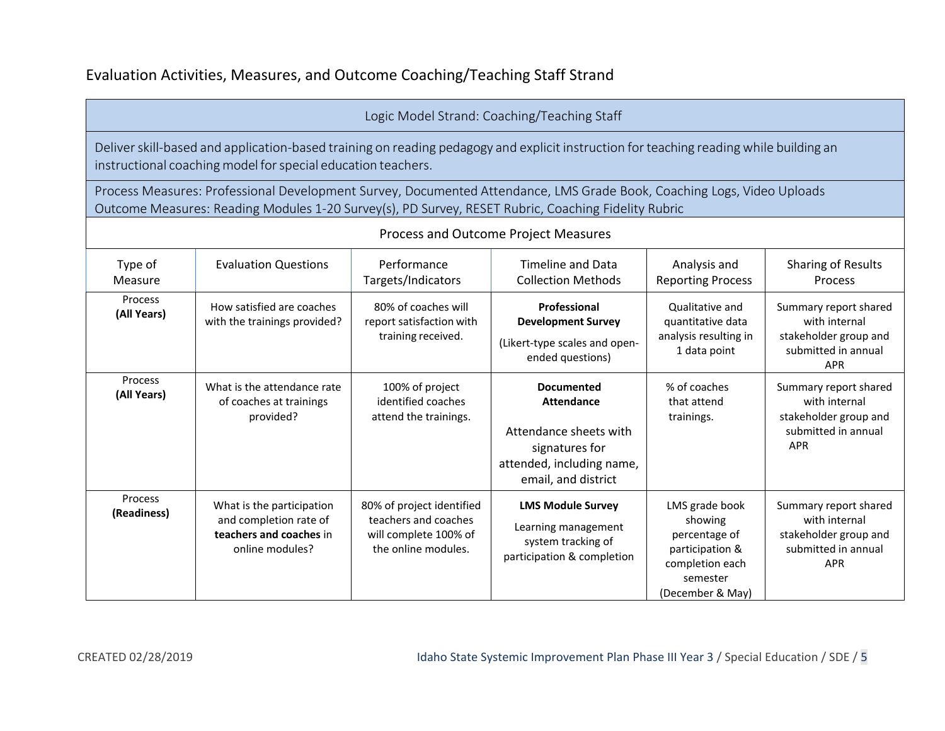## Evaluation Activities, Measures, and Outcome Coaching/Teaching Staff Strand

#### Logic Model Strand: Coaching/Teaching Staff

Process and Outcome Project Measures

Deliver skill-based and application-based training on reading pedagogy and explicit instruction for teaching reading while building an instructional coaching model for special education teachers.

Process Measures: Professional Development Survey, Documented Attendance, LMS Grade Book, Coaching Logs, Video Uploads Outcome Measures: Reading Modules 1-20 Survey(s), PD Survey, RESET Rubric, Coaching Fidelity Rubric

| Process and Outcome Project Measures |                                                                                                   |                                                                                                   |                                                                                                                                        |                                                                                                                  |                                                                                                      |  |
|--------------------------------------|---------------------------------------------------------------------------------------------------|---------------------------------------------------------------------------------------------------|----------------------------------------------------------------------------------------------------------------------------------------|------------------------------------------------------------------------------------------------------------------|------------------------------------------------------------------------------------------------------|--|
| Type of<br>Measure                   | <b>Evaluation Questions</b>                                                                       | Performance<br>Targets/Indicators                                                                 | Timeline and Data<br><b>Collection Methods</b>                                                                                         | Analysis and<br><b>Reporting Process</b>                                                                         | Sharing of Results<br><b>Process</b>                                                                 |  |
| Process<br>(All Years)               | How satisfied are coaches<br>with the trainings provided?                                         | 80% of coaches will<br>report satisfaction with<br>training received.                             | Professional<br><b>Development Survey</b><br>(Likert-type scales and open-<br>ended questions)                                         | Qualitative and<br>quantitative data<br>analysis resulting in<br>1 data point                                    | Summary report shared<br>with internal<br>stakeholder group and<br>submitted in annual<br><b>APR</b> |  |
| Process<br>(All Years)               | What is the attendance rate<br>of coaches at trainings<br>provided?                               | 100% of project<br>identified coaches<br>attend the trainings.                                    | <b>Documented</b><br><b>Attendance</b><br>Attendance sheets with<br>signatures for<br>attended, including name,<br>email, and district | % of coaches<br>that attend<br>trainings.                                                                        | Summary report shared<br>with internal<br>stakeholder group and<br>submitted in annual<br><b>APR</b> |  |
| <b>Process</b><br>(Readiness)        | What is the participation<br>and completion rate of<br>teachers and coaches in<br>online modules? | 80% of project identified<br>teachers and coaches<br>will complete 100% of<br>the online modules. | <b>LMS Module Survey</b><br>Learning management<br>system tracking of<br>participation & completion                                    | LMS grade book<br>showing<br>percentage of<br>participation &<br>completion each<br>semester<br>(December & May) | Summary report shared<br>with internal<br>stakeholder group and<br>submitted in annual<br><b>APR</b> |  |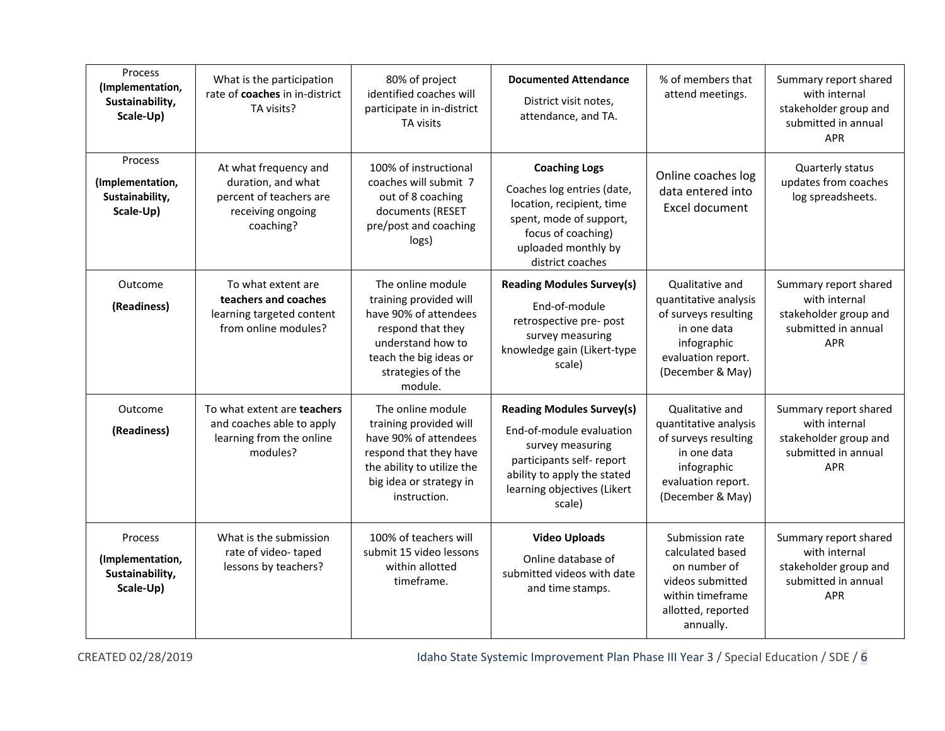| Process<br>(Implementation,<br>Sustainability,<br>Scale-Up) | What is the participation<br>rate of coaches in in-district<br>TA visits?                                | 80% of project<br>identified coaches will<br>participate in in-district<br>TA visits                                                                                     | <b>Documented Attendance</b><br>District visit notes,<br>attendance, and TA.                                                                                                          | % of members that<br>attend meetings.                                                                                                    | Summary report shared<br>with internal<br>stakeholder group and<br>submitted in annual<br><b>APR</b> |
|-------------------------------------------------------------|----------------------------------------------------------------------------------------------------------|--------------------------------------------------------------------------------------------------------------------------------------------------------------------------|---------------------------------------------------------------------------------------------------------------------------------------------------------------------------------------|------------------------------------------------------------------------------------------------------------------------------------------|------------------------------------------------------------------------------------------------------|
| Process<br>(Implementation,<br>Sustainability,<br>Scale-Up) | At what frequency and<br>duration, and what<br>percent of teachers are<br>receiving ongoing<br>coaching? | 100% of instructional<br>coaches will submit 7<br>out of 8 coaching<br>documents (RESET<br>pre/post and coaching<br>logs)                                                | <b>Coaching Logs</b><br>Coaches log entries (date,<br>location, recipient, time<br>spent, mode of support,<br>focus of coaching)<br>uploaded monthly by<br>district coaches           | Online coaches log<br>data entered into<br>Excel document                                                                                | Quarterly status<br>updates from coaches<br>log spreadsheets.                                        |
| Outcome<br>(Readiness)                                      | To what extent are<br>teachers and coaches<br>learning targeted content<br>from online modules?          | The online module<br>training provided will<br>have 90% of attendees<br>respond that they<br>understand how to<br>teach the big ideas or<br>strategies of the<br>module. | <b>Reading Modules Survey(s)</b><br>End-of-module<br>retrospective pre- post<br>survey measuring<br>knowledge gain (Likert-type<br>scale)                                             | Qualitative and<br>quantitative analysis<br>of surveys resulting<br>in one data<br>infographic<br>evaluation report.<br>(December & May) | Summary report shared<br>with internal<br>stakeholder group and<br>submitted in annual<br><b>APR</b> |
| Outcome<br>(Readiness)                                      | To what extent are <b>teachers</b><br>and coaches able to apply<br>learning from the online<br>modules?  | The online module<br>training provided will<br>have 90% of attendees<br>respond that they have<br>the ability to utilize the<br>big idea or strategy in<br>instruction.  | <b>Reading Modules Survey(s)</b><br>End-of-module evaluation<br>survey measuring<br>participants self- report<br>ability to apply the stated<br>learning objectives (Likert<br>scale) | Qualitative and<br>quantitative analysis<br>of surveys resulting<br>in one data<br>infographic<br>evaluation report.<br>(December & May) | Summary report shared<br>with internal<br>stakeholder group and<br>submitted in annual<br><b>APR</b> |
| Process<br>(Implementation,<br>Sustainability,<br>Scale-Up) | What is the submission<br>rate of video-taped<br>lessons by teachers?                                    | 100% of teachers will<br>submit 15 video lessons<br>within allotted<br>timeframe.                                                                                        | <b>Video Uploads</b><br>Online database of<br>submitted videos with date<br>and time stamps.                                                                                          | Submission rate<br>calculated based<br>on number of<br>videos submitted<br>within timeframe<br>allotted, reported<br>annually.           | Summary report shared<br>with internal<br>stakeholder group and<br>submitted in annual<br><b>APR</b> |

CREATED 02/28/2019 **Idaho State Systemic Improvement Plan Phase III Year 3 / Special Education / SDE / 6**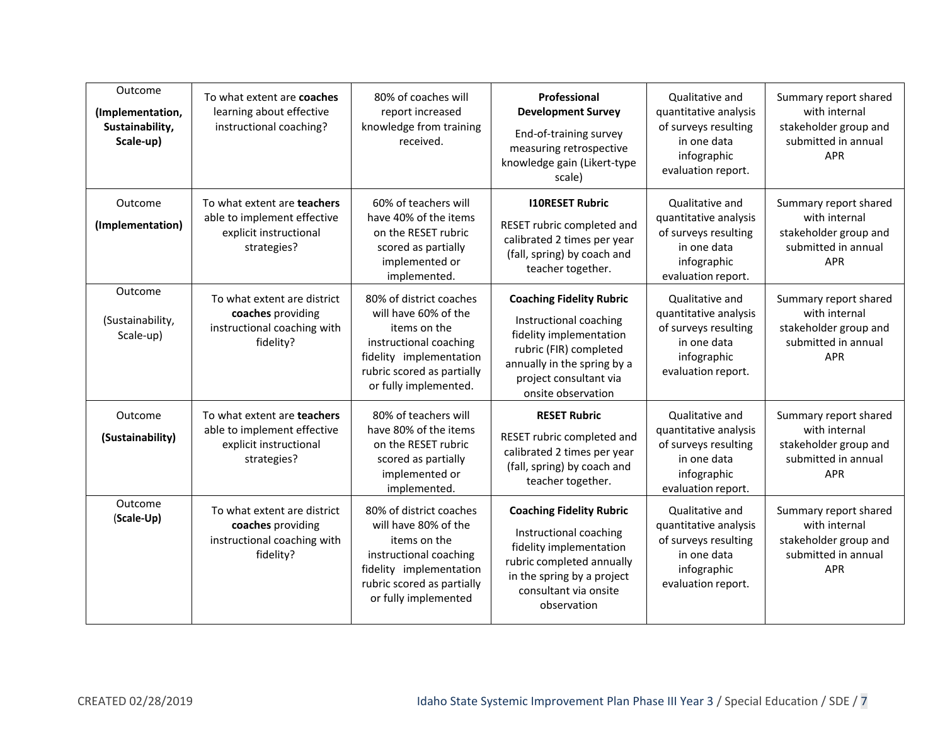| Outcome<br>(Implementation,<br>Sustainability,<br>Scale-up) | To what extent are <b>coaches</b><br>learning about effective<br>instructional coaching?                   | 80% of coaches will<br>report increased<br>knowledge from training<br>received.                                                                                             | Professional<br><b>Development Survey</b><br>End-of-training survey<br>measuring retrospective<br>knowledge gain (Likert-type<br>scale)                                                       | <b>Oualitative and</b><br>quantitative analysis<br>of surveys resulting<br>in one data<br>infographic<br>evaluation report. | Summary report shared<br>with internal<br>stakeholder group and<br>submitted in annual<br><b>APR</b> |
|-------------------------------------------------------------|------------------------------------------------------------------------------------------------------------|-----------------------------------------------------------------------------------------------------------------------------------------------------------------------------|-----------------------------------------------------------------------------------------------------------------------------------------------------------------------------------------------|-----------------------------------------------------------------------------------------------------------------------------|------------------------------------------------------------------------------------------------------|
| Outcome<br>(Implementation)                                 | To what extent are <b>teachers</b><br>able to implement effective<br>explicit instructional<br>strategies? | 60% of teachers will<br>have 40% of the items<br>on the RESET rubric<br>scored as partially<br>implemented or<br>implemented.                                               | <b>I10RESET Rubric</b><br>RESET rubric completed and<br>calibrated 2 times per year<br>(fall, spring) by coach and<br>teacher together.                                                       | Qualitative and<br>quantitative analysis<br>of surveys resulting<br>in one data<br>infographic<br>evaluation report.        | Summary report shared<br>with internal<br>stakeholder group and<br>submitted in annual<br><b>APR</b> |
| Outcome<br>(Sustainability,<br>Scale-up)                    | To what extent are district<br>coaches providing<br>instructional coaching with<br>fidelity?               | 80% of district coaches<br>will have 60% of the<br>items on the<br>instructional coaching<br>fidelity implementation<br>rubric scored as partially<br>or fully implemented. | <b>Coaching Fidelity Rubric</b><br>Instructional coaching<br>fidelity implementation<br>rubric (FIR) completed<br>annually in the spring by a<br>project consultant via<br>onsite observation | Qualitative and<br>quantitative analysis<br>of surveys resulting<br>in one data<br>infographic<br>evaluation report.        | Summary report shared<br>with internal<br>stakeholder group and<br>submitted in annual<br><b>APR</b> |
| Outcome<br>(Sustainability)                                 | To what extent are <b>teachers</b><br>able to implement effective<br>explicit instructional<br>strategies? | 80% of teachers will<br>have 80% of the items<br>on the RESET rubric<br>scored as partially<br>implemented or<br>implemented.                                               | <b>RESET Rubric</b><br>RESET rubric completed and<br>calibrated 2 times per year<br>(fall, spring) by coach and<br>teacher together.                                                          | <b>Oualitative and</b><br>quantitative analysis<br>of surveys resulting<br>in one data<br>infographic<br>evaluation report. | Summary report shared<br>with internal<br>stakeholder group and<br>submitted in annual<br><b>APR</b> |
| Outcome<br>(Scale-Up)                                       | To what extent are district<br>coaches providing<br>instructional coaching with<br>fidelity?               | 80% of district coaches<br>will have 80% of the<br>items on the<br>instructional coaching<br>fidelity implementation<br>rubric scored as partially<br>or fully implemented  | <b>Coaching Fidelity Rubric</b><br>Instructional coaching<br>fidelity implementation<br>rubric completed annually<br>in the spring by a project<br>consultant via onsite<br>observation       | Qualitative and<br>quantitative analysis<br>of surveys resulting<br>in one data<br>infographic<br>evaluation report.        | Summary report shared<br>with internal<br>stakeholder group and<br>submitted in annual<br><b>APR</b> |